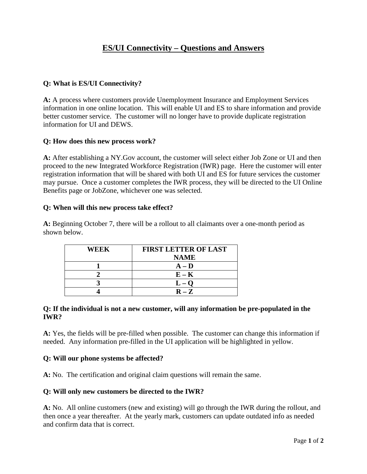# **ES/UI Connectivity – Questions and Answers**

# **Q: What is ES/UI Connectivity?**

**A:** A process where customers provide Unemployment Insurance and Employment Services information in one online location. This will enable UI and ES to share information and provide better customer service. The customer will no longer have to provide duplicate registration information for UI and DEWS.

#### **Q: How does this new process work?**

**A:** After establishing a NY.Gov account, the customer will select either Job Zone or UI and then proceed to the new Integrated Workforce Registration (IWR) page. Here the customer will enter registration information that will be shared with both UI and ES for future services the customer may pursue. Once a customer completes the IWR process, they will be directed to the UI Online Benefits page or JobZone, whichever one was selected.

#### **Q: When will this new process take effect?**

**A:** Beginning October 7, there will be a rollout to all claimants over a one-month period as shown below.

| WEEK | <b>FIRST LETTER OF LAST</b> |
|------|-----------------------------|
|      | <b>NAME</b>                 |
|      | $A - D$                     |
|      | $E - K$                     |
|      |                             |
|      | $R - Z$                     |

#### **Q: If the individual is not a new customer, will any information be pre-populated in the IWR?**

**A:** Yes, the fields will be pre-filled when possible. The customer can change this information if needed. Any information pre-filled in the UI application will be highlighted in yellow.

#### **Q: Will our phone systems be affected?**

**A:** No. The certification and original claim questions will remain the same.

#### **Q: Will only new customers be directed to the IWR?**

**A:** No. All online customers (new and existing) will go through the IWR during the rollout, and then once a year thereafter. At the yearly mark, customers can update outdated info as needed and confirm data that is correct.